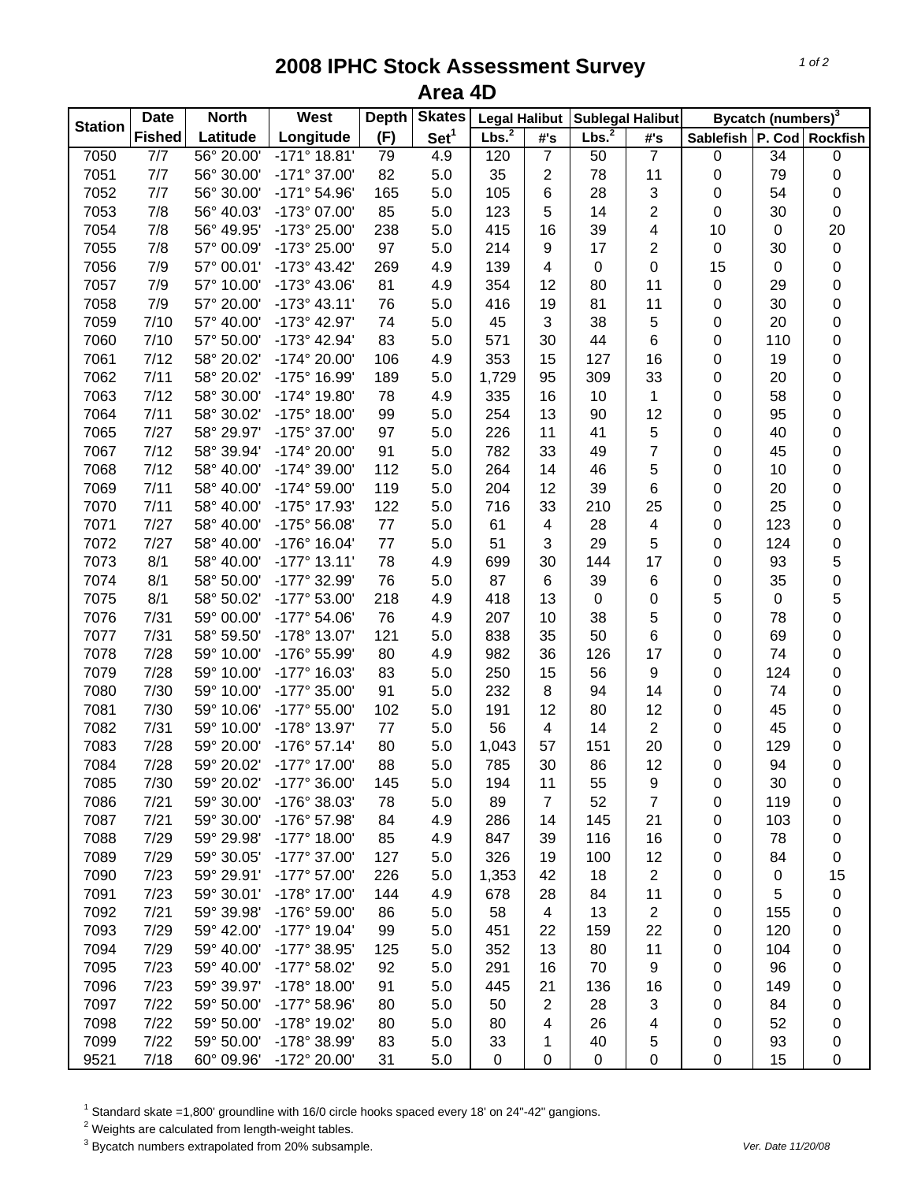## **2008 IPHC Stock Assessment Survey Area 4D**

| <b>Station</b> | <b>Date</b>   | <b>North</b> | West                  | <b>Depth</b> | <b>Skates</b>    | <b>Legal Halibut</b> |                          | <b>Sublegal Halibut</b> |                | Bycatch (numbers) <sup>3</sup> |                 |             |
|----------------|---------------|--------------|-----------------------|--------------|------------------|----------------------|--------------------------|-------------------------|----------------|--------------------------------|-----------------|-------------|
|                | <b>Fished</b> | Latitude     | Longitude             | (F)          | Set <sup>1</sup> | Lbs. <sup>2</sup>    | #'s                      | Lbs. <sup>2</sup>       | #'s            | Sablefish   P. Cod   Rockfish  |                 |             |
| 7050           | 7/7           | 56° 20.00'   | $-171^\circ 18.81'$   | 79           | 4.9              | 120                  | $\overline{7}$           | 50                      | $\overline{7}$ | $\pmb{0}$                      | $\overline{34}$ | $\pmb{0}$   |
| 7051           | 7/7           | 56° 30.00'   | -171° 37.00'          | 82           | 5.0              | 35                   | $\overline{2}$           | 78                      | 11             | 0                              | 79              | 0           |
| 7052           | 7/7           | 56° 30.00'   | $-171°54.96'$         | 165          | 5.0              | 105                  | 6                        | 28                      | 3              | 0                              | 54              | 0           |
| 7053           | 7/8           | 56° 40.03'   | -173° 07.00'          | 85           | 5.0              | 123                  | 5                        | 14                      | 2              | 0                              | 30              | 0           |
| 7054           | 7/8           | 56° 49.95'   | -173° 25.00'          | 238          | 5.0              | 415                  | 16                       | 39                      | 4              | 10                             | $\pmb{0}$       | 20          |
| 7055           | 7/8           | 57° 00.09'   | -173° 25.00'          | 97           | 5.0              | 214                  | 9                        | 17                      | 2              | 0                              | 30              | $\mathbf 0$ |
| 7056           | 7/9           | 57° 00.01'   | $-173^{\circ}$ 43.42' | 269          | 4.9              | 139                  | $\overline{\mathbf{4}}$  | 0                       | 0              | 15                             | $\mathbf 0$     | $\mathbf 0$ |
| 7057           | 7/9           | 57° 10.00    | $-173^{\circ}$ 43.06' | 81           | 4.9              | 354                  | 12                       | 80                      | 11             | 0                              | 29              | $\mathbf 0$ |
| 7058           | 7/9           | 57° 20.00'   | $-173°$ 43.11'        | 76           | 5.0              | 416                  | 19                       | 81                      | 11             | 0                              | 30              | $\mathbf 0$ |
| 7059           | 7/10          | 57° 40.00    | -173° 42.97'          | 74           | 5.0              | 45                   | 3                        | 38                      | 5              | 0                              | 20              | $\mathbf 0$ |
| 7060           | 7/10          | 57° 50.00'   | -173° 42.94'          | 83           | 5.0              | 571                  | 30                       | 44                      | 6              | 0                              | 110             | $\mathbf 0$ |
| 7061           | 7/12          | 58° 20.02'   | -174° 20.00'          | 106          | 4.9              | 353                  | 15                       | 127                     | 16             | 0                              | 19              | 0           |
| 7062           | 7/11          | 58° 20.02'   | -175° 16.99'          | 189          | 5.0              | 1,729                | 95                       | 309                     | 33             | 0                              | 20              | 0           |
| 7063           | 7/12          | 58° 30.00'   | -174° 19.80'          | 78           | 4.9              | 335                  | 16                       | 10                      | 1              | 0                              | 58              | $\mathbf 0$ |
| 7064           | 7/11          | 58° 30.02'   | -175° 18.00'          | 99           | 5.0              | 254                  | 13                       | 90                      | 12             | 0                              | 95              | $\mathbf 0$ |
| 7065           | 7/27          | 58° 29.97'   | -175° 37.00'          | 97           | 5.0              | 226                  | 11                       | 41                      | 5              | 0                              | 40              | $\mathbf 0$ |
| 7067           | 7/12          | 58° 39.94'   | -174° 20.00'          | 91           | 5.0              | 782                  | 33                       | 49                      | $\overline{7}$ | 0                              | 45              | $\mathbf 0$ |
| 7068           | 7/12          | 58° 40.00'   | -174° 39.00'          | 112          | 5.0              | 264                  | 14                       | 46                      | 5              | 0                              | 10              | $\mathbf 0$ |
| 7069           | 7/11          | 58° 40.00'   | -174° 59.00'          | 119          | 5.0              | 204                  | 12                       | 39                      | 6              | 0                              | 20              | 0           |
| 7070           | 7/11          | 58° 40.00'   | -175° 17.93'          | 122          | 5.0              | 716                  | 33                       | 210                     | 25             | 0                              | 25              | 0           |
| 7071           | 7/27          | 58° 40.00'   | -175° 56.08'          | 77           | 5.0              | 61                   | $\overline{\mathcal{A}}$ | 28                      | 4              | 0                              | 123             | $\mathbf 0$ |
| 7072           | 7/27          | 58° 40.00'   | -176° 16.04'          | 77           | 5.0              | 51                   | 3                        | 29                      | 5              | 0                              | 124             | $\mathbf 0$ |
| 7073           | 8/1           | 58° 40.00'   | $-177°$ 13.11'        | 78           | 4.9              | 699                  | 30                       | 144                     | 17             | 0                              | 93              | $\mathbf 5$ |
| 7074           | 8/1           | 58° 50.00'   | -177° 32.99'          | 76           | 5.0              | 87                   | 6                        | 39                      | 6              | 0                              | 35              | $\mathsf 0$ |
| 7075           | 8/1           | 58° 50.02'   | -177° 53.00'          | 218          | 4.9              | 418                  | 13                       | 0                       | 0              | 5                              | $\pmb{0}$       | 5           |
| 7076           | 7/31          | 59° 00.00'   | -177° 54.06'          | 76           | 4.9              | 207                  | 10                       | 38                      | 5              | 0                              | 78              | $\mathbf 0$ |
| 7077           | 7/31          | 58° 59.50'   | -178° 13.07'          | 121          | 5.0              | 838                  | 35                       | 50                      | 6              | 0                              | 69              | $\mathbf 0$ |
| 7078           | 7/28          | 59° 10.00'   | -176° 55.99'          | 80           | 4.9              | 982                  | 36                       | 126                     | 17             | 0                              | 74              | $\mathbf 0$ |
| 7079           | 7/28          | 59° 10.00'   | -177° 16.03'          | 83           | 5.0              | 250                  | 15                       | 56                      |                |                                | 124             | $\mathbf 0$ |
|                | 7/30          | 59° 10.00'   |                       | 91           |                  |                      | 8                        | 94                      | 9<br>14        | 0                              |                 |             |
| 7080           |               | 59° 10.06'   | -177° 35.00'          |              | 5.0              | 232                  |                          |                         |                | 0                              | 74              | 0           |
| 7081           | 7/30          |              | -177° 55.00'          | 102          | 5.0              | 191                  | 12                       | 80                      | 12             | 0                              | 45              | $\mathbf 0$ |
| 7082           | 7/31          | 59° 10.00'   | -178° 13.97'          | 77           | 5.0              | 56                   | $\overline{\mathcal{A}}$ | 14                      | 2              | 0                              | 45              | $\pmb{0}$   |
| 7083           | 7/28          | 59° 20.00'   | -176° 57.14'          | 80           | 5.0              | 1,043                | 57                       | 151                     | 20             | 0                              | 129             | 0           |
| 7084           | 7/28          | 59° 20.02'   | -177° 17.00'          | 88           | 5.0              | 785                  | 30                       | 86                      | 12             | 0                              | 94              | $\mathbf 0$ |
| 7085           | 7/30          | 59° 20.02'   | -177° 36.00'          | 145          | 5.0              | 194                  | 11                       | 55                      | 9              | 0                              | 30              | 0           |
| 7086           | 7/21          | 59° 30.00'   | -176° 38.03'          | 78           | 5.0              | 89                   | $\overline{7}$           | 52                      | 7              | 0                              | 119             | 0           |
| 7087           | 7/21          | 59° 30.00'   | -176° 57.98'          | 84           | 4.9              | 286                  | 14                       | 145                     | 21             | 0                              | 103             | 0           |
| 7088           | 7/29          | 59° 29.98'   | $-177^{\circ}$ 18.00  | 85           | 4.9              | 847                  | 39                       | 116                     | 16             | 0                              | 78              | 0           |
| 7089           | 7/29          | 59° 30.05'   | -177° 37.00'          | 127          | 5.0              | 326                  | 19                       | 100                     | 12             | 0                              | 84              | 0           |
| 7090           | 7/23          | 59° 29.91'   | -177° 57.00'          | 226          | 5.0              | 1,353                | 42                       | 18                      | 2              | 0                              | $\pmb{0}$       | 15          |
| 7091           | 7/23          | 59° 30.01'   | -178° 17.00'          | 144          | 4.9              | 678                  | 28                       | 84                      | 11             | 0                              | 5               | $\pmb{0}$   |
| 7092           | 7/21          | 59° 39.98'   | -176° 59.00'          | 86           | 5.0              | 58                   | 4                        | 13                      | 2              | 0                              | 155             | 0           |
| 7093           | 7/29          | 59° 42.00'   | -177° 19.04'          | 99           | 5.0              | 451                  | 22                       | 159                     | 22             | 0                              | 120             | 0           |
| 7094           | 7/29          | 59° 40.00'   | -177° 38.95'          | 125          | 5.0              | 352                  | 13                       | 80                      | 11             | 0                              | 104             | 0           |
| 7095           | 7/23          | 59° 40.00'   | -177° 58.02'          | 92           | 5.0              | 291                  | 16                       | 70                      | 9              | 0                              | 96              | 0           |
| 7096           | 7/23          | 59° 39.97'   | -178° 18.00'          | 91           | 5.0              | 445                  | 21                       | 136                     | 16             | 0                              | 149             | 0           |
| 7097           | 7/22          | 59° 50.00'   | -177° 58.96'          | 80           | 5.0              | 50                   | $\overline{2}$           | 28                      | 3              | 0                              | 84              | 0           |
| 7098           | 7/22          | 59° 50.00'   | -178° 19.02'          | 80           | 5.0              | 80                   | 4                        | 26                      | 4              | 0                              | 52              | 0           |
| 7099           | 7/22          | 59° 50.00'   | -178° 38.99'          | 83           | 5.0              | 33                   | 1                        | 40                      | 5              | 0                              | 93              | 0           |
| 9521           | 7/18          | 60° 09.96'   | -172° 20.00'          | 31           | 5.0              | 0                    | $\boldsymbol{0}$         | 0                       | 0              | $\pmb{0}$                      | 15              | 0           |

 $^1$  Standard skate =1,800' groundline with 16/0 circle hooks spaced every 18' on 24"-42" gangions.<br><sup>2</sup> Weights are calculated from length-weight tables.

3 Bycatch numbers extrapolated from 20% subsample. *Ver. Date 11/20/08*